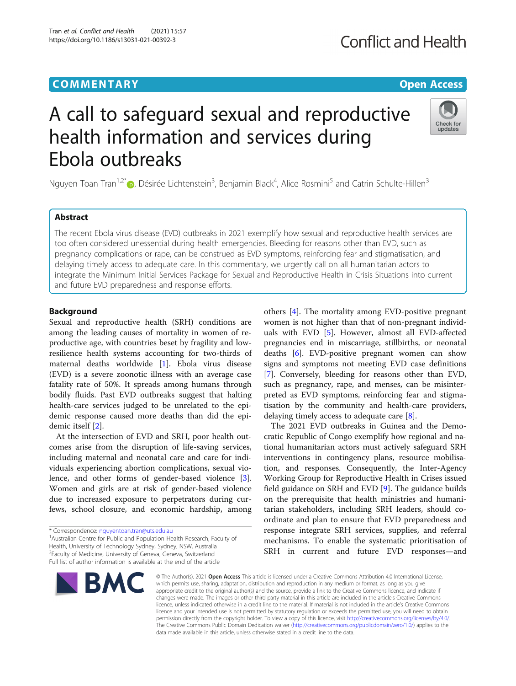# **COMMENTARY COMMENTARY COMMENTARY**

# A call to safeguard sexual and reproductive health information and services during Ebola outbreaks

Nguyen Toan Tran<sup>1,2[\\*](http://orcid.org/0000-0001-7134-7878)</sup>®, Désirée Lichtenstein<sup>3</sup>, Benjamin Black<sup>4</sup>, Alice Rosmini<sup>5</sup> and Catrin Schulte-Hillen<sup>3</sup>

# Abstract

The recent Ebola virus disease (EVD) outbreaks in 2021 exemplify how sexual and reproductive health services are too often considered unessential during health emergencies. Bleeding for reasons other than EVD, such as pregnancy complications or rape, can be construed as EVD symptoms, reinforcing fear and stigmatisation, and delaying timely access to adequate care. In this commentary, we urgently call on all humanitarian actors to integrate the Minimum Initial Services Package for Sexual and Reproductive Health in Crisis Situations into current and future EVD preparedness and response efforts.

# Background

Sexual and reproductive health (SRH) conditions are among the leading causes of mortality in women of reproductive age, with countries beset by fragility and lowresilience health systems accounting for two-thirds of maternal deaths worldwide [\[1\]](#page-1-0). Ebola virus disease (EVD) is a severe zoonotic illness with an average case fatality rate of 50%. It spreads among humans through bodily fluids. Past EVD outbreaks suggest that halting health-care services judged to be unrelated to the epidemic response caused more deaths than did the epidemic itself [[2\]](#page-1-0).

At the intersection of EVD and SRH, poor health outcomes arise from the disruption of life-saving services, including maternal and neonatal care and care for individuals experiencing abortion complications, sexual violence, and other forms of gender-based violence [\[3](#page-1-0)]. Women and girls are at risk of gender-based violence due to increased exposure to perpetrators during curfews, school closure, and economic hardship, among

<sup>1</sup> Australian Centre for Public and Population Health Research, Faculty of Health, University of Technology Sydney, Sydney, NSW, Australia

2 Faculty of Medicine, University of Geneva, Geneva, Switzerland

others [\[4](#page-1-0)]. The mortality among EVD-positive pregnant women is not higher than that of non-pregnant individuals with EVD [\[5](#page-2-0)]. However, almost all EVD-affected pregnancies end in miscarriage, stillbirths, or neonatal deaths [[6](#page-2-0)]. EVD-positive pregnant women can show signs and symptoms not meeting EVD case definitions [[7\]](#page-2-0). Conversely, bleeding for reasons other than EVD, such as pregnancy, rape, and menses, can be misinterpreted as EVD symptoms, reinforcing fear and stigmatisation by the community and health-care providers, delaying timely access to adequate care [\[8](#page-2-0)].

The 2021 EVD outbreaks in Guinea and the Democratic Republic of Congo exemplify how regional and national humanitarian actors must actively safeguard SRH interventions in contingency plans, resource mobilisation, and responses. Consequently, the Inter-Agency Working Group for Reproductive Health in Crises issued field guidance on SRH and EVD [[9\]](#page-2-0). The guidance builds on the prerequisite that health ministries and humanitarian stakeholders, including SRH leaders, should coordinate and plan to ensure that EVD preparedness and response integrate SRH services, supplies, and referral mechanisms. To enable the systematic prioritisation of SRH in current and future EVD responses—and

which permits use, sharing, adaptation, distribution and reproduction in any medium or format, as long as you give appropriate credit to the original author(s) and the source, provide a link to the Creative Commons licence, and indicate if changes were made. The images or other third party material in this article are included in the article's Creative Commons licence, unless indicated otherwise in a credit line to the material. If material is not included in the article's Creative Commons licence and your intended use is not permitted by statutory regulation or exceeds the permitted use, you will need to obtain permission directly from the copyright holder. To view a copy of this licence, visit [http://creativecommons.org/licenses/by/4.0/.](http://creativecommons.org/licenses/by/4.0/) The Creative Commons Public Domain Dedication waiver [\(http://creativecommons.org/publicdomain/zero/1.0/](http://creativecommons.org/publicdomain/zero/1.0/)) applies to the data made available in this article, unless otherwise stated in a credit line to the data.

© The Author(s), 2021 **Open Access** This article is licensed under a Creative Commons Attribution 4.0 International License,







<sup>\*</sup> Correspondence: [nguyentoan.tran@uts.edu.au](mailto:nguyentoan.tran@uts.edu.au) <sup>1</sup>

Full list of author information is available at the end of the article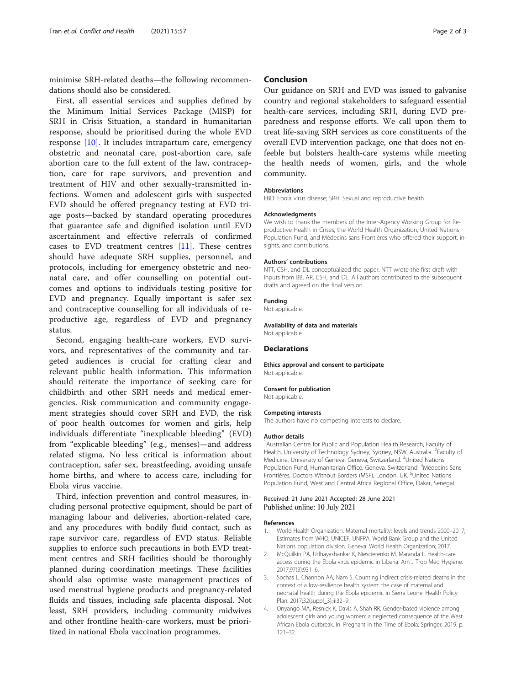<span id="page-1-0"></span>minimise SRH-related deaths—the following recommendations should also be considered.

First, all essential services and supplies defined by the Minimum Initial Services Package (MISP) for SRH in Crisis Situation, a standard in humanitarian response, should be prioritised during the whole EVD response [\[10](#page-2-0)]. It includes intrapartum care, emergency obstetric and neonatal care, post-abortion care, safe abortion care to the full extent of the law, contraception, care for rape survivors, and prevention and treatment of HIV and other sexually-transmitted infections. Women and adolescent girls with suspected EVD should be offered pregnancy testing at EVD triage posts—backed by standard operating procedures that guarantee safe and dignified isolation until EVD ascertainment and effective referrals of confirmed cases to EVD treatment centres [[11\]](#page-2-0). These centres should have adequate SRH supplies, personnel, and protocols, including for emergency obstetric and neonatal care, and offer counselling on potential outcomes and options to individuals testing positive for EVD and pregnancy. Equally important is safer sex and contraceptive counselling for all individuals of reproductive age, regardless of EVD and pregnancy status.

Second, engaging health-care workers, EVD survivors, and representatives of the community and targeted audiences is crucial for crafting clear and relevant public health information. This information should reiterate the importance of seeking care for childbirth and other SRH needs and medical emergencies. Risk communication and community engagement strategies should cover SRH and EVD, the risk of poor health outcomes for women and girls, help individuals differentiate "inexplicable bleeding" (EVD) from "explicable bleeding" (e.g., menses)—and address related stigma. No less critical is information about contraception, safer sex, breastfeeding, avoiding unsafe home births, and where to access care, including for Ebola virus vaccine.

Third, infection prevention and control measures, including personal protective equipment, should be part of managing labour and deliveries, abortion-related care, and any procedures with bodily fluid contact, such as rape survivor care, regardless of EVD status. Reliable supplies to enforce such precautions in both EVD treatment centres and SRH facilities should be thoroughly planned during coordination meetings. These facilities should also optimise waste management practices of used menstrual hygiene products and pregnancy-related fluids and tissues, including safe placenta disposal. Not least, SRH providers, including community midwives and other frontline health-care workers, must be prioritized in national Ebola vaccination programmes.

## Conclusion

Our guidance on SRH and EVD was issued to galvanise country and regional stakeholders to safeguard essential health-care services, including SRH, during EVD preparedness and response efforts. We call upon them to treat life-saving SRH services as core constituents of the overall EVD intervention package, one that does not enfeeble but bolsters health-care systems while meeting the health needs of women, girls, and the whole community.

#### Abbreviations

EBD: Ebola virus disease; SRH: Sexual and reproductive health

#### Acknowledgments

We wish to thank the members of the Inter-Agency Working Group for Reproductive Health in Crises, the World Health Organization, United Nations Population Fund, and Médecins sans Frontières who offered their support, insights, and contributions.

#### Authors' contributions

NTT, CSH, and DL conceptualized the paper. NTT wrote the first draft with inputs from BB, AR, CSH, and DL. All authors contributed to the subsequent drafts and agreed on the final version.

#### Funding

Not applicable.

### Availability of data and materials

Not applicable.

### **Declarations**

Ethics approval and consent to participate Not applicable.

#### Consent for publication

Not applicable.

#### Competing interests

The authors have no competing interests to declare.

#### Author details

<sup>1</sup> Australian Centre for Public and Population Health Research, Faculty of Health, University of Technology Sydney, Sydney, NSW, Australia. <sup>2</sup>Faculty of Medicine, University of Geneva, Geneva, Switzerland. <sup>3</sup>United Nations Population Fund, Humanitarian Office, Geneva, Switzerland. <sup>4</sup>Médecins Sans Frontières, Doctors Without Borders (MSF), London, UK. <sup>5</sup>United Nations Population Fund, West and Central Africa Regional Office, Dakar, Senegal.

#### Received: 21 June 2021 Accepted: 28 June 2021 Published online: 10 July 2021

#### References

- 1. World Health Organization. Maternal mortality: levels and trends 2000–2017; Estimates from WHO, UNICEF, UNFPA, World Bank Group and the United Nations population division. Geneva: World Health Organization; 2017.
- 2. McQuilkin PA, Udhayashankar K, Niescierenko M, Maranda L. Health-care access during the Ebola virus epidemic in Liberia. Am J Trop Med Hygiene. 2017;97(3):931–6.
- 3. Sochas L, Channon AA, Nam S. Counting indirect crisis-related deaths in the context of a low-resilience health system: the case of maternal and neonatal health during the Ebola epidemic in Sierra Leone. Health Policy Plan. 2017;32(suppl\_3):iii32–9.
- 4. Onyango MA, Resnick K, Davis A, Shah RR. Gender-based violence among adolescent girls and young women: a neglected consequence of the West African Ebola outbreak. In: Pregnant in the Time of Ebola: Springer; 2019. p. 121–32.